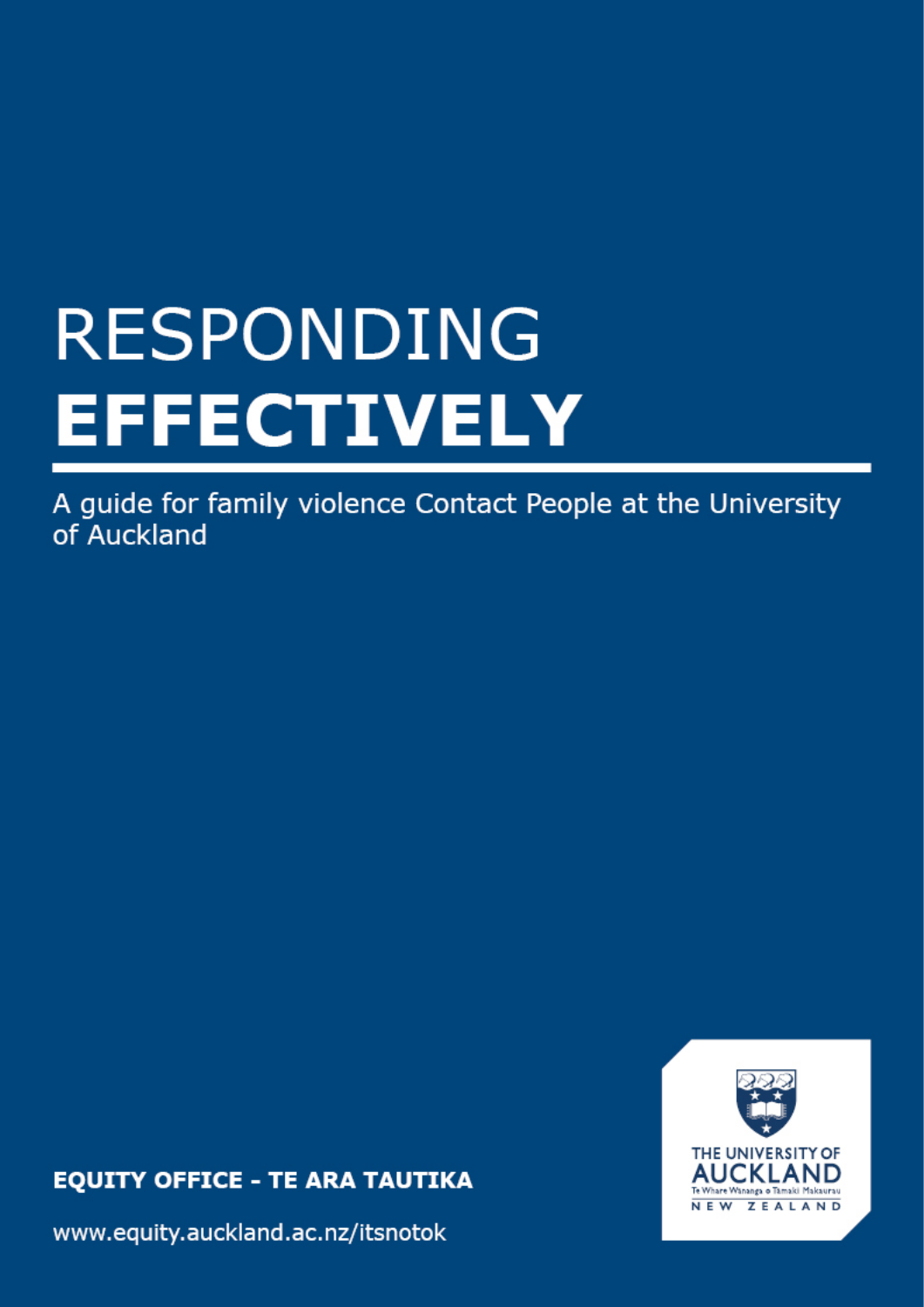# **RESPONDING EFFECTIVELY**

A guide for family violence Contact People at the University of Auckland

**EQUITY OFFICE - TE ARA TAUTIKA** 

www.equity.auckland.ac.nz/itsnotok

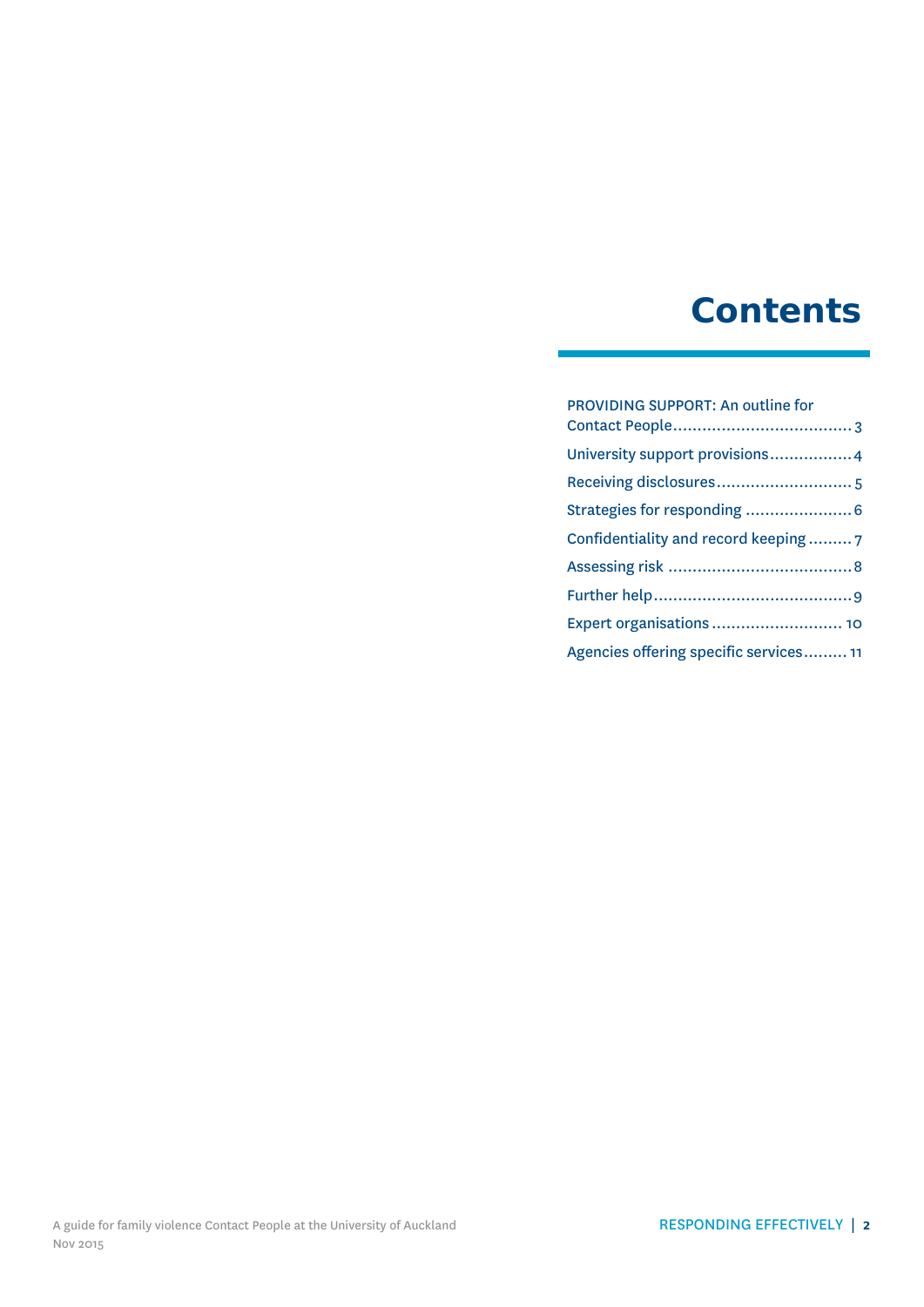### **Contents**

### [PROVIDING SUPPORT: An outline for](#page-2-0)  [Contact People.....................................](#page-2-0) 3 [University support provisions.................4](#page-3-0) [Receiving disclosures............................](#page-4-0) 5 [Strategies for responding](#page-5-0) ......................6 [Confidentiality and record keeping](#page-6-0) ......... 7 Assessing risk [......................................8](#page-7-0) [Further help.........................................9](#page-8-0) [Expert organisations](#page-9-0) ........................... 10 [Agencies offering specific services.........](#page-10-0) 11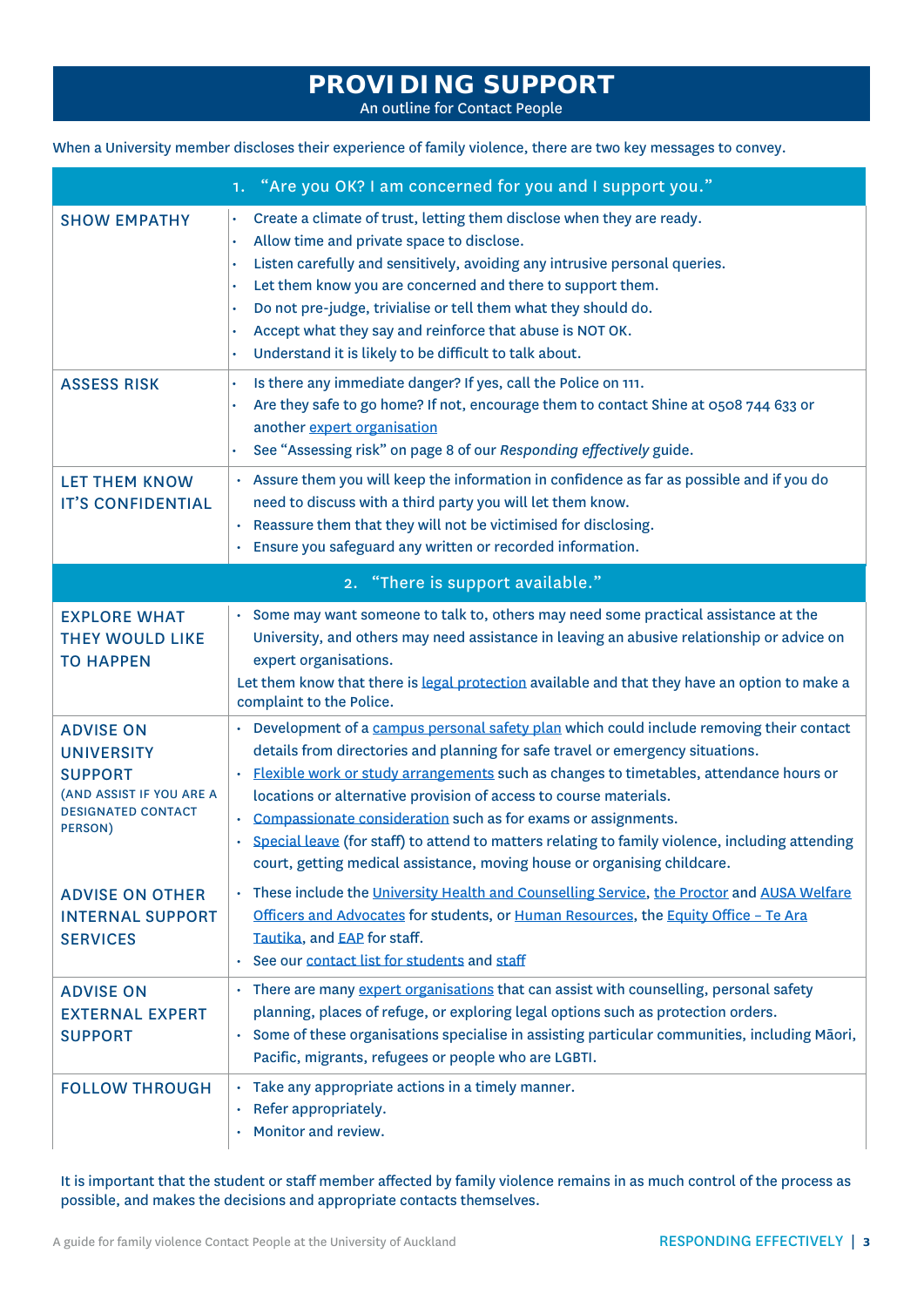### **PROVIDING SUPPORT**

An outline for Contact People

<span id="page-2-0"></span>

|  |  |  |  |  | When a University member discloses their experience of family violence, there are two key messages to convey. |  |
|--|--|--|--|--|---------------------------------------------------------------------------------------------------------------|--|
|--|--|--|--|--|---------------------------------------------------------------------------------------------------------------|--|

|                                                                                                                             | 1. "Are you OK? I am concerned for you and I support you."                                                                                                                                                                                                                                                                                                                                                                                                                                                                                                                                                                      |
|-----------------------------------------------------------------------------------------------------------------------------|---------------------------------------------------------------------------------------------------------------------------------------------------------------------------------------------------------------------------------------------------------------------------------------------------------------------------------------------------------------------------------------------------------------------------------------------------------------------------------------------------------------------------------------------------------------------------------------------------------------------------------|
| <b>SHOW EMPATHY</b>                                                                                                         | Create a climate of trust, letting them disclose when they are ready.<br>Allow time and private space to disclose.<br>Listen carefully and sensitively, avoiding any intrusive personal queries.<br>Let them know you are concerned and there to support them.<br>Do not pre-judge, trivialise or tell them what they should do.<br>Accept what they say and reinforce that abuse is NOT OK.<br>Understand it is likely to be difficult to talk about.                                                                                                                                                                          |
| <b>ASSESS RISK</b>                                                                                                          | Is there any immediate danger? If yes, call the Police on 111.<br>Are they safe to go home? If not, encourage them to contact Shine at 0508 744 633 or<br>another expert organisation<br>See "Assessing risk" on page 8 of our Responding effectively guide.                                                                                                                                                                                                                                                                                                                                                                    |
| <b>LET THEM KNOW</b><br><b>IT'S CONFIDENTIAL</b>                                                                            | Assure them you will keep the information in confidence as far as possible and if you do<br>$\bullet$<br>need to discuss with a third party you will let them know.<br>Reassure them that they will not be victimised for disclosing.<br>Ensure you safeguard any written or recorded information.<br>$\bullet$                                                                                                                                                                                                                                                                                                                 |
|                                                                                                                             | 2. "There is support available."                                                                                                                                                                                                                                                                                                                                                                                                                                                                                                                                                                                                |
| <b>EXPLORE WHAT</b><br><b>THEY WOULD LIKE</b><br><b>TO HAPPEN</b>                                                           | · Some may want someone to talk to, others may need some practical assistance at the<br>University, and others may need assistance in leaving an abusive relationship or advice on<br>expert organisations.<br>Let them know that there is legal protection available and that they have an option to make a<br>complaint to the Police.                                                                                                                                                                                                                                                                                        |
| <b>ADVISE ON</b><br><b>UNIVERSITY</b><br><b>SUPPORT</b><br>(AND ASSIST IF YOU ARE A<br><b>DESIGNATED CONTACT</b><br>PERSON) | Development of a campus personal safety plan which could include removing their contact<br>$\bullet$<br>details from directories and planning for safe travel or emergency situations.<br>Flexible work or study arrangements such as changes to timetables, attendance hours or<br>$\bullet$<br>locations or alternative provision of access to course materials.<br>Compassionate consideration such as for exams or assignments.<br>Special leave (for staff) to attend to matters relating to family violence, including attending<br>$\bullet$<br>court, getting medical assistance, moving house or organising childcare. |
| <b>ADVISE ON OTHER</b><br><b>INTERNAL SUPPORT</b><br><b>SERVICES</b>                                                        | These include the University Health and Counselling Service, the Proctor and AUSA Welfare<br>Officers and Advocates for students, or Human Resources, the Equity Office - Te Ara<br>Tautika, and EAP for staff.<br>See our contact list for students and staff                                                                                                                                                                                                                                                                                                                                                                  |
| <b>ADVISE ON</b><br><b>EXTERNAL EXPERT</b><br><b>SUPPORT</b>                                                                | • There are many expert organisations that can assist with counselling, personal safety<br>planning, places of refuge, or exploring legal options such as protection orders.<br>Some of these organisations specialise in assisting particular communities, including Māori,<br>Pacific, migrants, refugees or people who are LGBTI.                                                                                                                                                                                                                                                                                            |
| <b>FOLLOW THROUGH</b>                                                                                                       | · Take any appropriate actions in a timely manner.<br>Refer appropriately.<br>Monitor and review.                                                                                                                                                                                                                                                                                                                                                                                                                                                                                                                               |

It is important that the student or staff member affected by family violence remains in as much control of the process as possible, and makes the decisions and appropriate contacts themselves.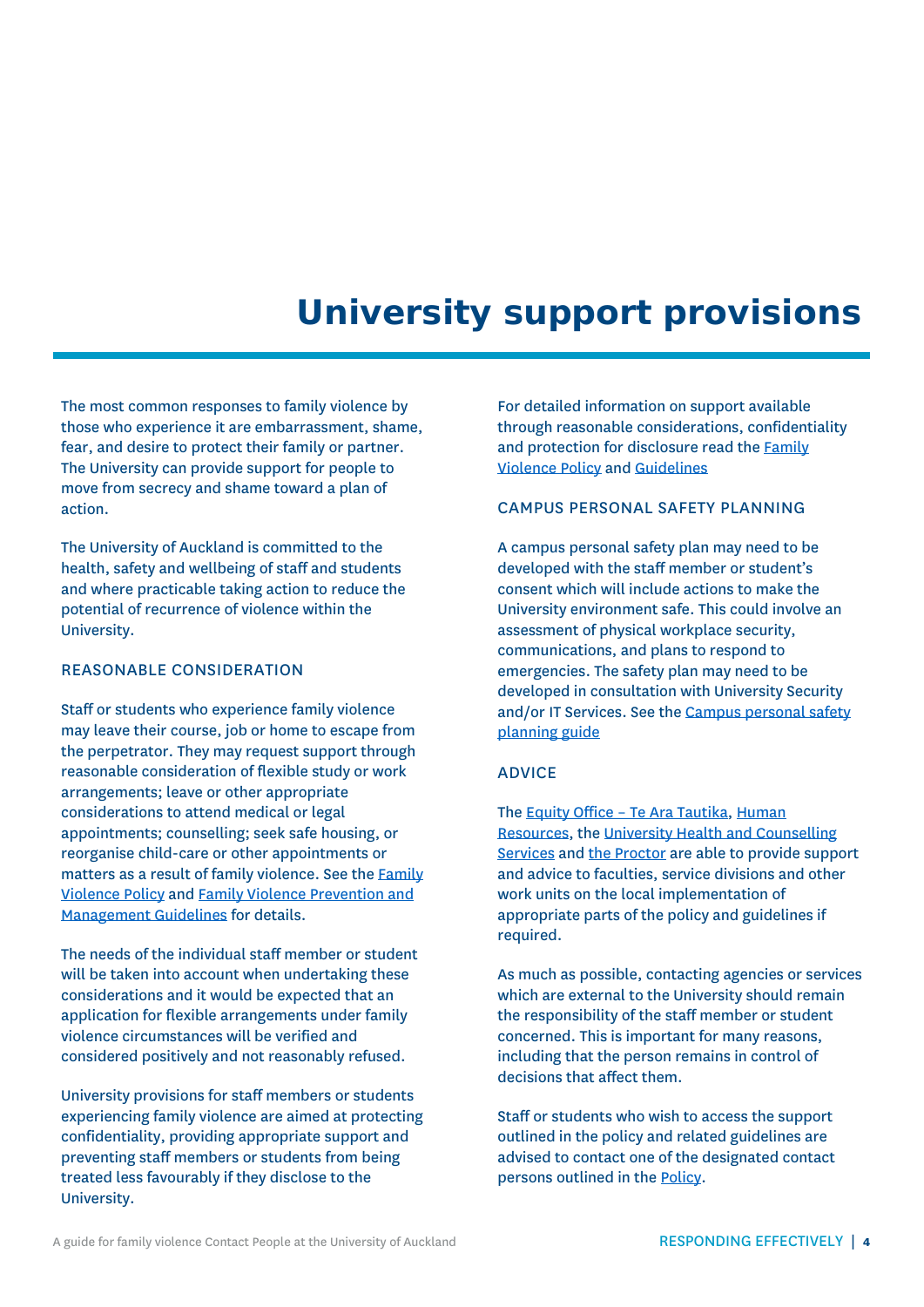### **University support provisions**

<span id="page-3-0"></span>The most common responses to family violence by those who experience it are embarrassment, shame, fear, and desire to protect their family or partner. The University can provide support for people to move from secrecy and shame toward a plan of action.

The University of Auckland is committed to the health, safety and wellbeing of staff and students and where practicable taking action to reduce the potential of recurrence of violence within the University.

#### REASONABLE CONSIDERATION

Staff or students who experience family violence may leave their course, job or home to escape from the perpetrator. They may request support through reasonable consideration of flexible study or work arrangements; leave or other appropriate considerations to attend medical or legal appointments; counselling; seek safe housing, or reorganise child-care or other appointments or matters as a result of family violence. See th[e Family](https://www.auckland.ac.nz/en/about/the-university/how-university-works/policy-and-administration/equity/family-violence-policy.html) [Violence](https://www.auckland.ac.nz/en/about/the-university/how-university-works/policy-and-administration/equity/family-violence-policy.html) Policy and [Family Violence Prevention and](https://www.auckland.ac.nz/en/about/the-university/how-university-works/policy-and-administration/equity/family-violence-guidelines.html)  [Management Guidelines](https://www.auckland.ac.nz/en/about/the-university/how-university-works/policy-and-administration/equity/family-violence-guidelines.html) for details.

The needs of the individual staff member or student will be taken into account when undertaking these considerations and it would be expected that an application for flexible arrangements under family violence circumstances will be verified and considered positively and not reasonably refused.

University provisions for staff members or students experiencing family violence are aimed at protecting confidentiality, providing appropriate support and preventing staff members or students from being treated less favourably if they disclose to the University.

For detailed information on support available through reasonable considerations, confidentiality and protection for disclosure read the [Family](https://www.auckland.ac.nz/en/about/the-university/how-university-works/policy-and-administration/equity/family-violence-policy.html)  [Violence Policy](https://www.auckland.ac.nz/en/about/the-university/how-university-works/policy-and-administration/equity/family-violence-policy.html) and [Guidelines](https://www.auckland.ac.nz/en/about/the-university/how-university-works/policy-and-administration/equity/family-violence-guidelines.html)

#### CAMPUS PERSONAL SAFETY PLANNING

A campus personal safety plan may need to be developed with the staff member or student's consent which will include actions to make the University environment safe. This could involve an assessment of physical workplace security, communications, and plans to respond to emergencies. The safety plan may need to be developed in consultation with University Security and/or IT Services. See th[e Campus personal safety](https://www.auckland.ac.nz/en/about/eo-equity-office/family-violence/i-want-to-help.html)  [planning guide](https://www.auckland.ac.nz/en/about/eo-equity-office/family-violence/i-want-to-help.html) 

#### ADVICE

The **Equity Office - Te Ara Tautika**, Human [Resources,](https://www.staff.auckland.ac.nz/en/human-resources/staff-support-services/who-to-go-to-in-hr.html) the [University Health and Counselling](https://www.auckland.ac.nz/en/for/current-students/cs-student-support-and-services/cs-personal-support/health-and-counselling-service.html)  [Services](https://www.auckland.ac.nz/en/for/current-students/cs-student-support-and-services/cs-personal-support/health-and-counselling-service.html) and [the Proctor](https://www.auckland.ac.nz/en/for/current-students/cs-student-support-and-services/cs-personal-support/proctor.html) are able to provide support and advice to faculties, service divisions and other work units on the local implementation of appropriate parts of the policy and guidelines if required.

As much as possible, contacting agencies or services which are external to the University should remain the responsibility of the staff member or student concerned. This is important for many reasons, including that the person remains in control of decisions that affect them.

Staff or students who wish to access the support outlined in the policy and related guidelines are advised to contact one of the designated contact persons outlined in th[e Policy.](https://www.auckland.ac.nz/en/about/the-university/how-university-works/policy-and-administration/equity/family-violence-policy.html)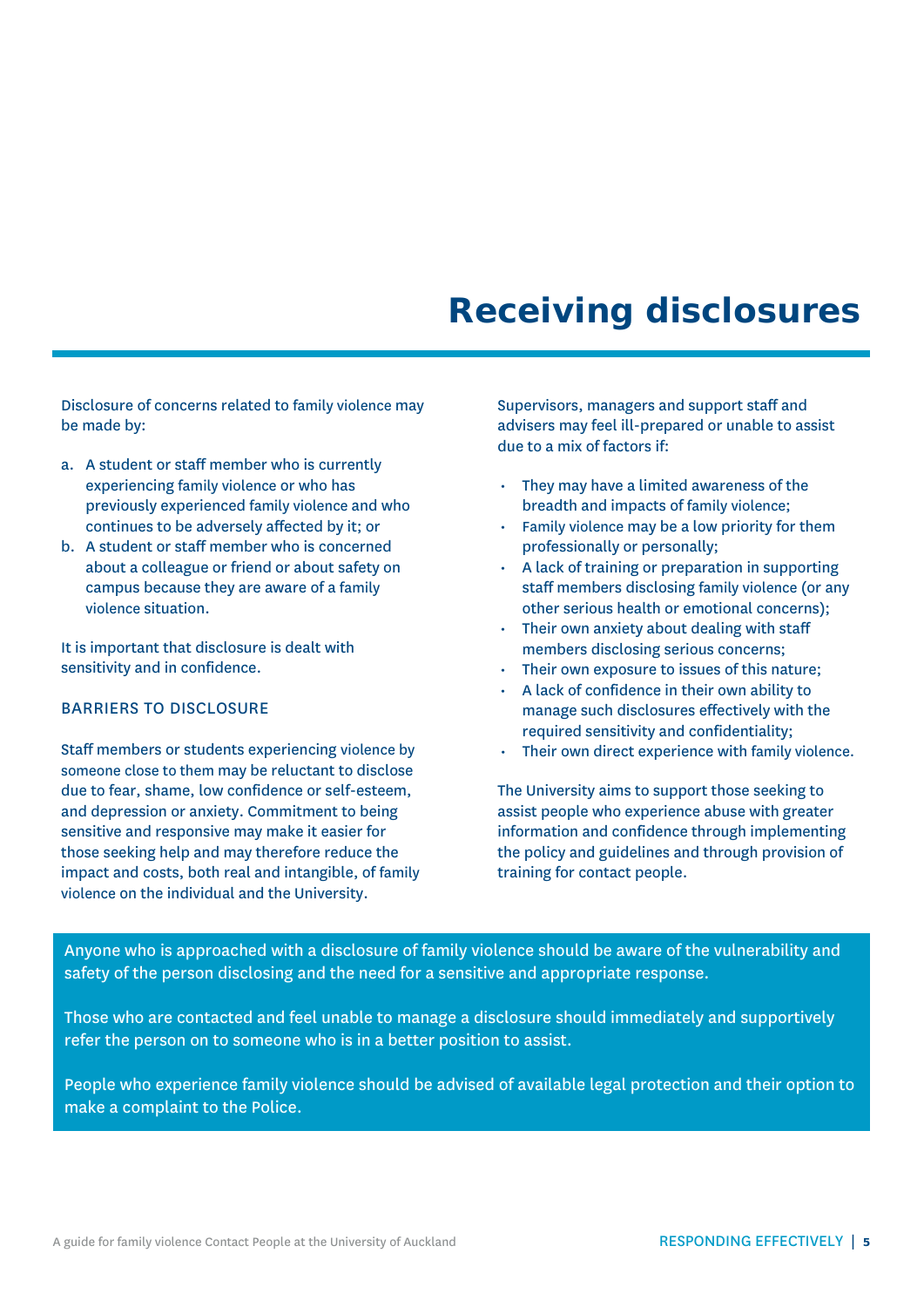### <span id="page-4-0"></span>**Receiving disclosures**

Disclosure of concerns related to family violence may be made by:

- a. A student or staff member who is currently experiencing family violence or who has previously experienced family violence and who continues to be adversely affected by it; or
- b. A student or staff member who is concerned about a colleague or friend or about safety on campus because they are aware of a family violence situation.

It is important that disclosure is dealt with sensitivity and in confidence.

#### BARRIERS TO DISCLOSURE

Staff members or students experiencing violence by someone close to them may be reluctant to disclose due to fear, shame, low confidence or self-esteem, and depression or anxiety. Commitment to being sensitive and responsive may make it easier for those seeking help and may therefore reduce the impact and costs, both real and intangible, of family violence on the individual and the University.

Supervisors, managers and support staff and advisers may feel ill-prepared or unable to assist due to a mix of factors if:

- They may have a limited awareness of the breadth and impacts of family violence;
- Family violence may be a low priority for them professionally or personally;
- A lack of training or preparation in supporting staff members disclosing family violence (or any other serious health or emotional concerns);
- Their own anxiety about dealing with staff members disclosing serious concerns;
- Their own exposure to issues of this nature;
- A lack of confidence in their own ability to manage such disclosures effectively with the required sensitivity and confidentiality;
- Their own direct experience with family violence.

The University aims to support those seeking to assist people who experience abuse with greater information and confidence through implementing the policy and guidelines and through provision of training for contact people.

Anyone who is approached with a disclosure of family violence should be aware of the vulnerability and safety of the person disclosing and the need for a sensitive and appropriate response.

Those who are contacted and feel unable to manage a disclosure should immediately and supportively refer the person on to someone who is in a better position to assist.

People who experience family violence should be advised of available legal protection and their option to make a complaint to the Police.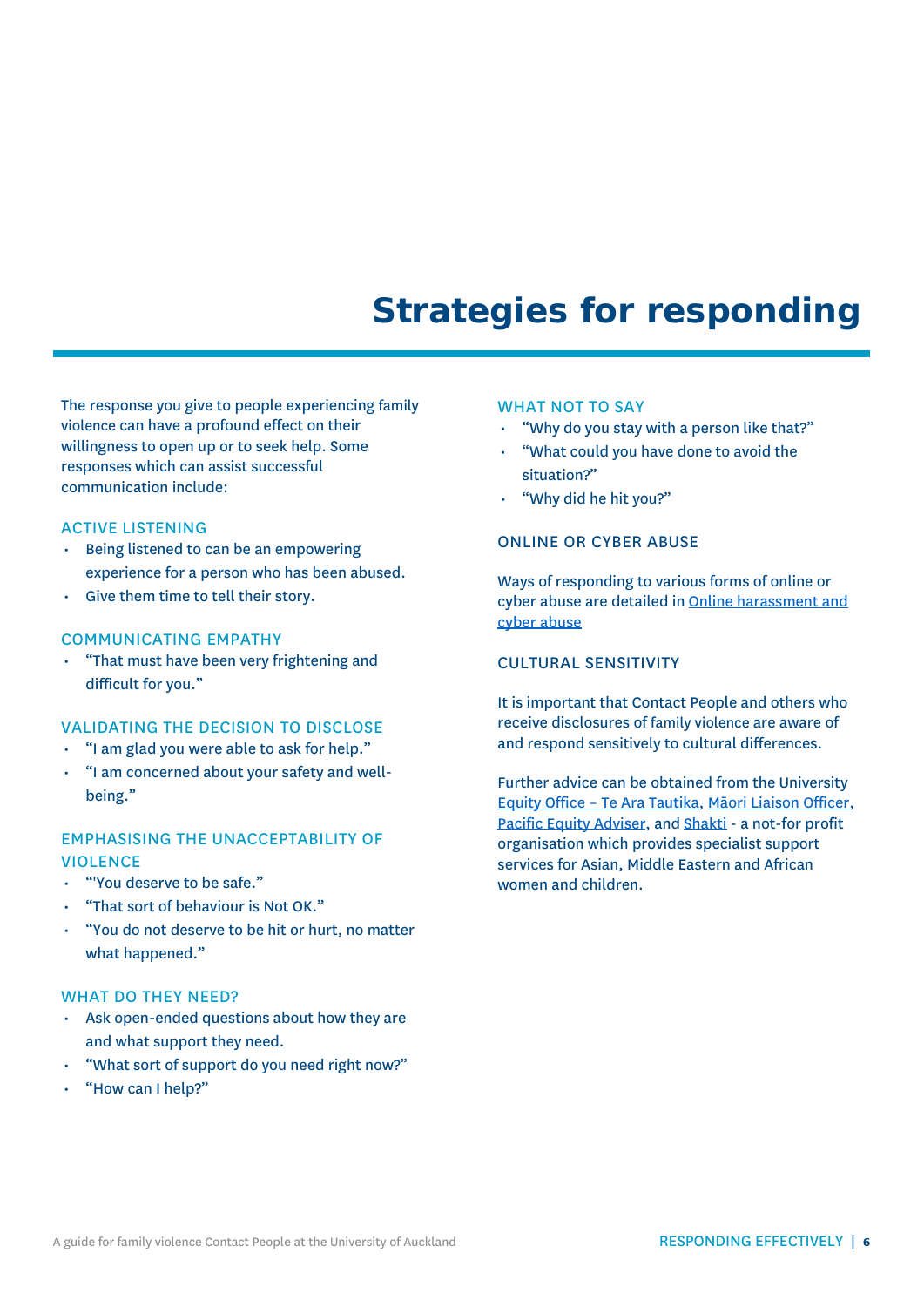### **Strategies for responding**

<span id="page-5-0"></span>The response you give to people experiencing family violence can have a profound effect on their willingness to open up or to seek help. Some responses which can assist successful communication include:

#### ACTIVE LISTENING

- Being listened to can be an empowering experience for a person who has been abused.
- Give them time to tell their story.

#### COMMUNICATING EMPATHY

• "That must have been very frightening and difficult for you."

#### VALIDATING THE DECISION TO DISCLOSE

- "I am glad you were able to ask for help."
- "I am concerned about your safety and wellbeing."

#### EMPHASISING THE UNACCEPTABILITY OF VIOLENCE

- "'You deserve to be safe."
- "That sort of behaviour is Not OK."
- "You do not deserve to be hit or hurt, no matter what happened."

#### WHAT DO THEY NEED?

- Ask open-ended questions about how they are and what support they need.
- "What sort of support do you need right now?"
- "How can I help?"

#### WHAT NOT TO SAY

- "Why do you stay with a person like that?"
- "What could you have done to avoid the situation?"
- "Why did he hit you?"

#### ONLINE OR CYBER ABUSE

Ways of responding to various forms of online or cyber abuse are detailed in Online harassment and cyber abuse

#### CULTURAL SENSITIVITY

It is important that Contact People and others who receive disclosures of family violence are aware of and respond sensitively to cultural differences.

Further advice can be obtained from the University Equity Office – [Te Ara Tautika,](https://www.auckland.ac.nz/en/about/eo-equity-office.html) [Māori Liaison Officer,](https://www.auckland.ac.nz/en/about/eo-equity-office/eo-about-us/contact-us.html) [Pacific Equity Adviser,](https://www.auckland.ac.nz/en/about/eo-equity-office/eo-about-us/contact-us.html) and [Shakti](http://shakti-international.org/shakti-nz/) - a not-for profit organisation which provides specialist support services for Asian, Middle Eastern and African women and children.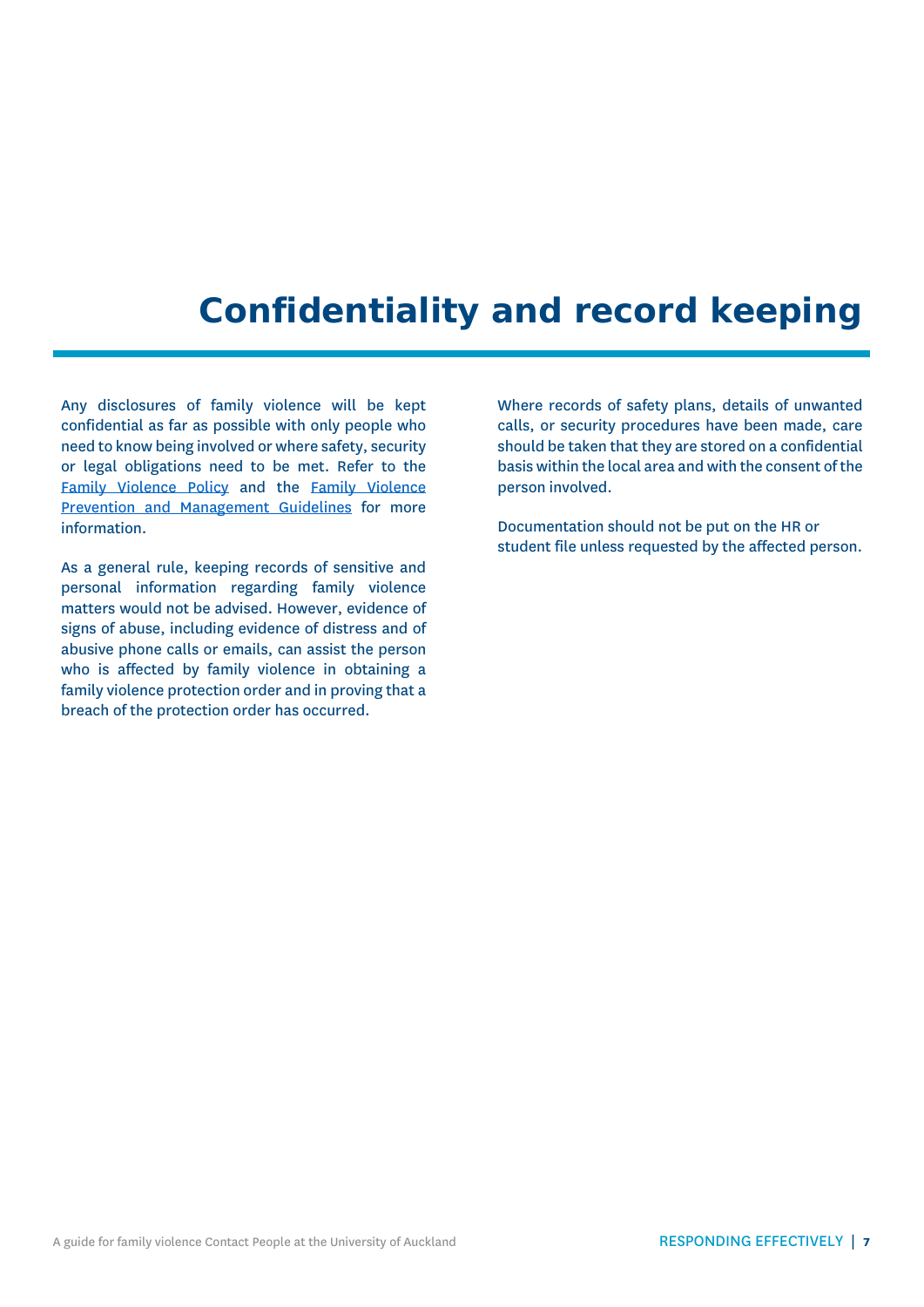## **Confidentiality and record keeping**

<span id="page-6-0"></span>Any disclosures of family violence will be kept confidential as far as possible with only people who need to know being involved or where safety, security or legal obligations need to be met. Refer to the [Family Violence Policy](https://www.auckland.ac.nz/en/about/the-university/how-university-works/policy-and-administration/equity/family-violence-policy.html) and the [Family Violence](https://www.auckland.ac.nz/en/about/the-university/how-university-works/policy-and-administration/equity/family-violence-guidelines.html)  [Prevention and Management Guidelines](https://www.auckland.ac.nz/en/about/the-university/how-university-works/policy-and-administration/equity/family-violence-guidelines.html) for more information.

As a general rule, keeping records of sensitive and personal information regarding family violence matters would not be advised. However, evidence of signs of abuse, including evidence of distress and of abusive phone calls or emails, can assist the person who is affected by family violence in obtaining a family violence protection order and in proving that a breach of the protection order has occurred.

Where records of safety plans, details of unwanted calls, or security procedures have been made, care should be taken that they are stored on a confidential basis within the local area and with the consent of the person involved.

Documentation should not be put on the HR or student file unless requested by the affected person.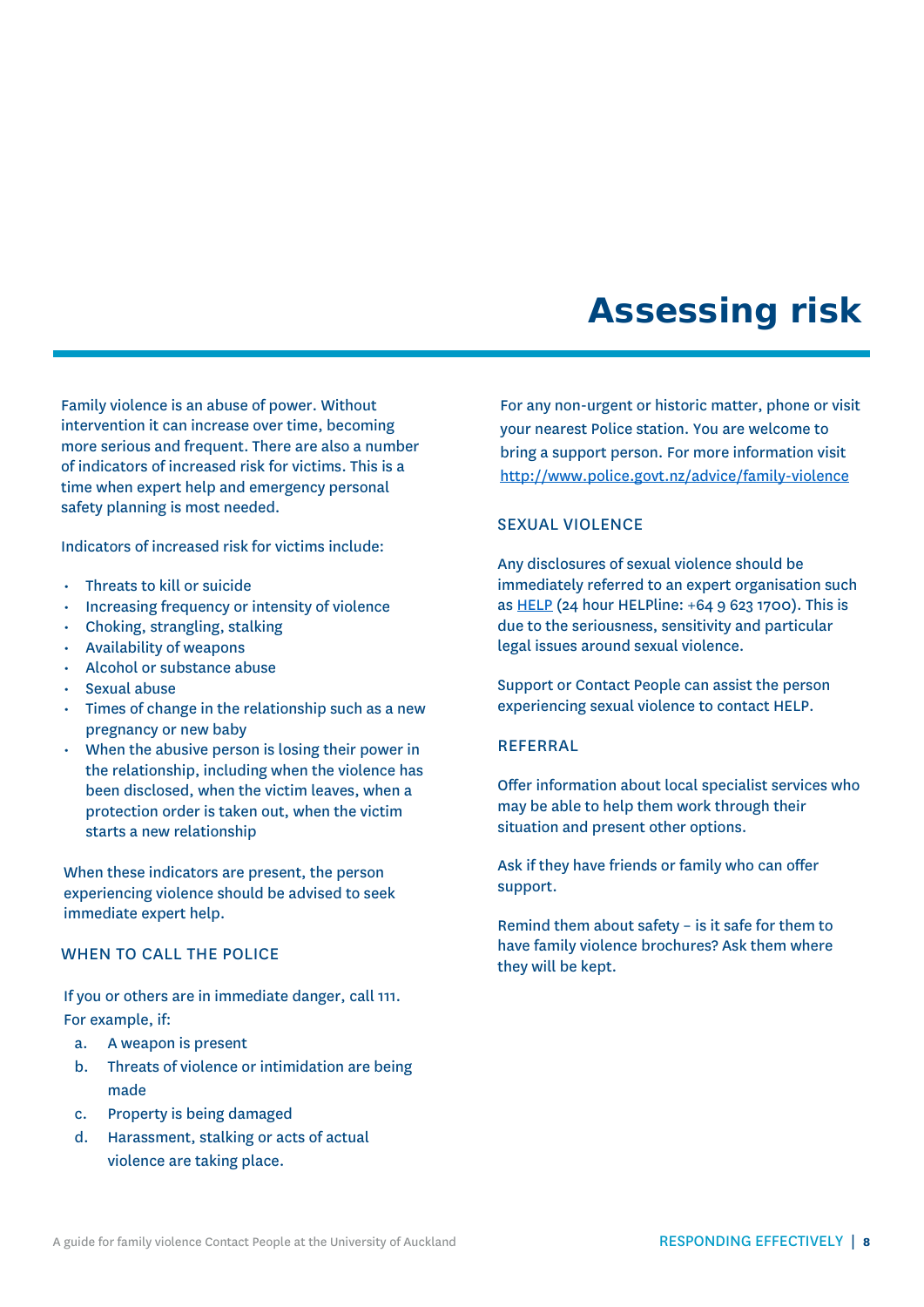### **Assessing risk**

<span id="page-7-0"></span>Family violence is an abuse of power. Without intervention it can increase over time, becoming more serious and frequent. There are also a number of indicators of increased risk for victims. This is a time when expert help and emergency personal safety planning is most needed.

Indicators of increased risk for victims include:

- Threats to kill or suicide
- Increasing frequency or intensity of violence
- Choking, strangling, stalking
- Availability of weapons
- Alcohol or substance abuse
- Sexual abuse
- Times of change in the relationship such as a new pregnancy or new baby
- When the abusive person is losing their power in the relationship, including when the violence has been disclosed, when the victim leaves, when a protection order is taken out, when the victim starts a new relationship

When these indicators are present, the person experiencing violence should be advised to seek immediate expert help.

#### WHEN TO CALL THE POLICE

If you or others are in immediate danger, call 111. For example, if:

- a. A weapon is present
- b. Threats of violence or intimidation are being made
- c. Property is being damaged
- d. Harassment, stalking or acts of actual violence are taking place.

For any non-urgent or historic matter, phone or visit your nearest Police station. You are welcome to bring a support person. For more information visit <http://www.police.govt.nz/advice/family-violence>

#### SEXUAL VIOLENCE

Any disclosures of sexual violence should be immediately referred to an expert organisation such as [HELP](http://www.helpauckland.org.nz/) (24 hour HELPline: +64 9 623 1700). This is due to the seriousness, sensitivity and particular legal issues around sexual violence.

Support or Contact People can assist the person experiencing sexual violence to contact HELP.

#### **REFERRAL**

Offer information about local specialist services who may be able to help them work through their situation and present other options.

Ask if they have friends or family who can offer support.

Remind them about safety – is it safe for them to have family violence brochures? Ask them where they will be kept.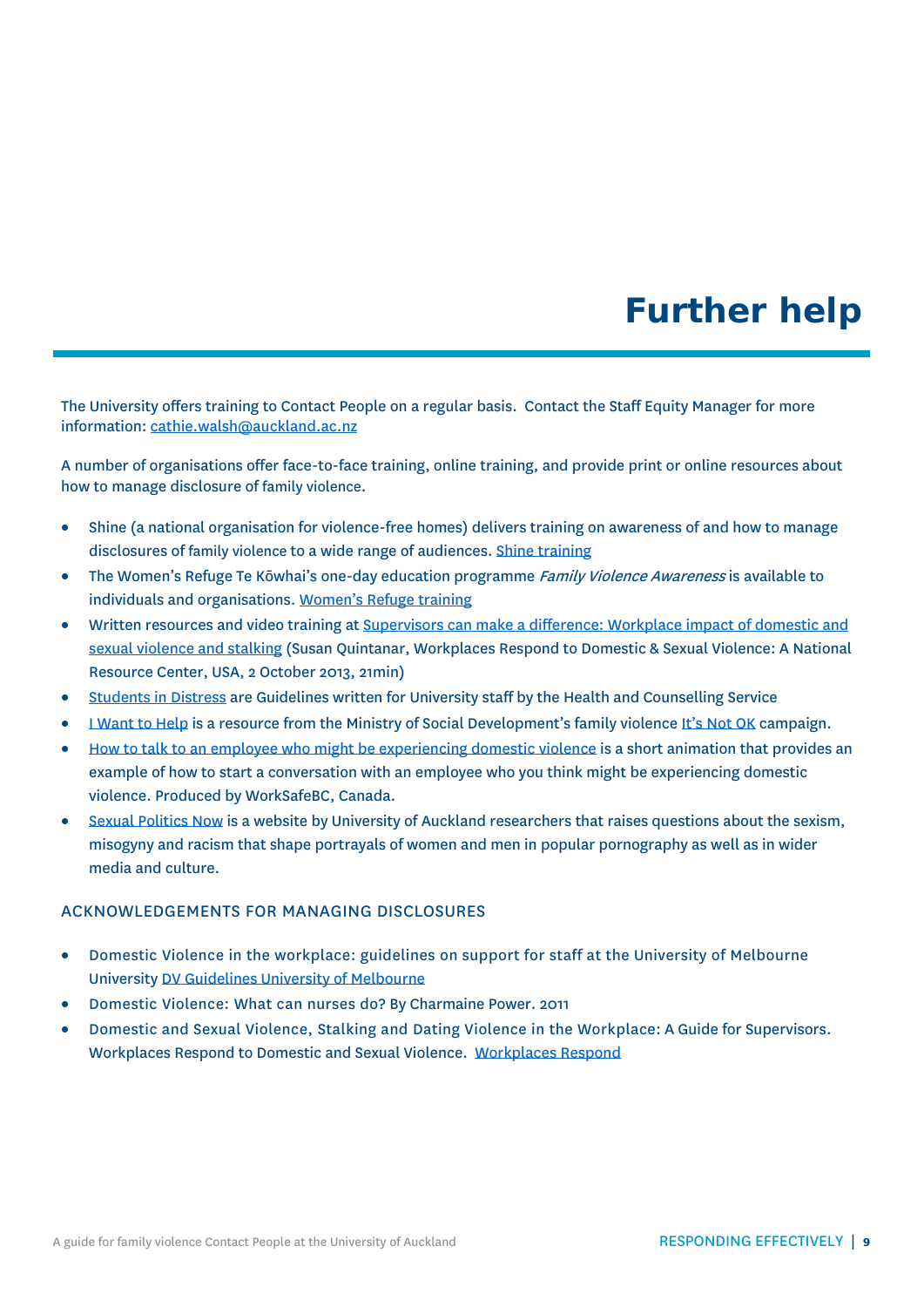### **Further help**

<span id="page-8-0"></span>The University offers training to Contact People on a regular basis. Contact the Staff Equity Manager for more information: [cathie.walsh@auckland.ac.nz](mailto:cathie.walsh@auckland.ac.nz)

A number of organisations offer face-to-face training, online training, and provide print or online resources about how to manage disclosure of family violence.

- Shine (a national organisation for violence-free homes) delivers training on awareness of and how to manage disclosures of family violence to a wide range of audiences. [Shine training](http://www.2shine.org.nz/shine-training)
- The Women's Refuge Te Kōwhai's one-day education programme Family Violence Awareness is available to individuals and organisations. [Women's Refuge training](https://womensrefuge.org.nz/WR/What-we-do/Training.htm)
- Written resources and video training at [Supervisors can make a difference: Workplace impact of domestic and](http://www.youtube.com/watch?v=HdNbnUAVFT4)  [sexual violence and stalking](http://www.youtube.com/watch?v=HdNbnUAVFT4) (Susan Quintanar, Workplaces Respond to Domestic & Sexual Violence: A National Resource Center, USA, 2 October 2013, 21min)
- [Students in Distress](https://cdn.auckland.ac.nz/assets/central/for/current-students/support-and-services/personal-support/counselling-services/documents/students-in-dsitress_guidelines-for-university-staff_October-2014.pdf) are Guidelines written for University staff by the Health and Counselling Service
- [I Want to Help](http://areyouok.org.nz/i-want-to-help/) is a resource from the Ministry of Social Development's family violence [It's Not OK](http://areyouok.org.nz/) campaign.
- [How to talk to an employee who might be experiencing domestic violence](https://www.youtube.com/watch?v=KeJDtvs1NtQ) is a short animation that provides an example of how to start a conversation with an employee who you think might be experiencing domestic violence. Produced by WorkSafeBC, Canada.
- [Sexual Politics Now](http://www.sexualpoliticsnow.org.nz/) is a website by University of Auckland researchers that raises questions about the sexism, misogyny and racism that shape portrayals of women and men in popular pornography as well as in wider media and culture.

#### ACKNOWLEDGEMENTS FOR MANAGING DISCLOSURES

- Domestic Violence in the workplace: guidelines on support for staff at the University of Melbourne University [DV Guidelines University of Melbourne](https://hr.unimelb.edu.au/__data/assets/pdf_file/0010/1267084/University_of_Melbourne_DOMESTIC_VIOLENCE_GUIDELINES.pdf)
- Domestic Violence: What can nurses do? By Charmaine Power. 2011
- Domestic and Sexual Violence, Stalking and Dating Violence in the Workplace: A Guide for Supervisors. Workplaces Respond to Domestic and Sexual Violence. [Workplaces Respond](http://www.workplacesrespond.org/implement/guide-for-supervisors)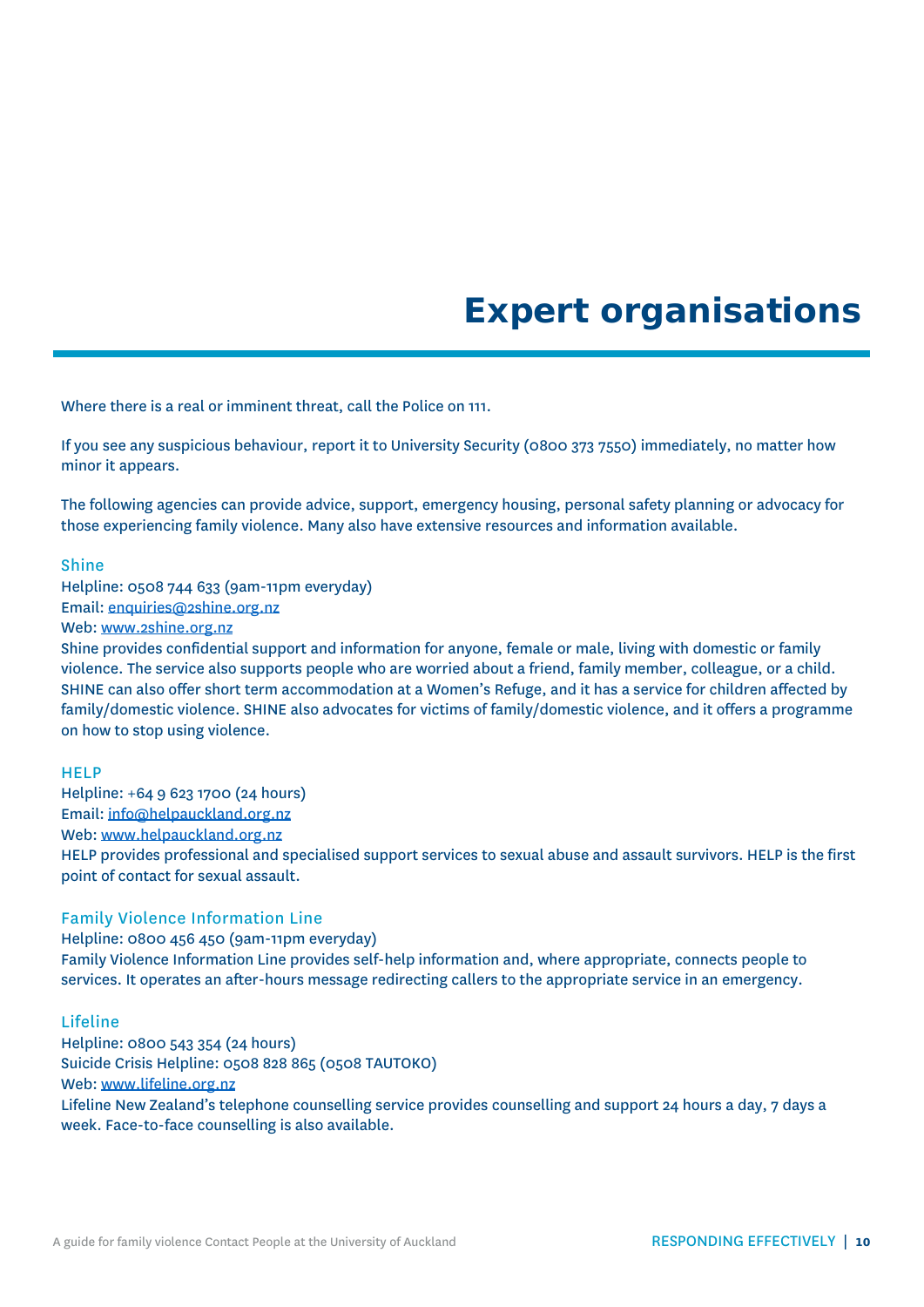### **Expert organisations**

<span id="page-9-0"></span>Where there is a real or imminent threat, call the Police on 111.

If you see any suspicious behaviour, report it to University Security (0800 373 7550) immediately, no matter how minor it appears.

The following agencies can provide advice, support, emergency housing, personal safety planning or advocacy for those experiencing family violence. Many also have extensive resources and information available.

#### Shine

Helpline: 0508 744 633 (9am-11pm everyday) Email[: enquiries@2shine.org.nz](mailto:enquiries@2shine.org.nz)

Web: [www.2shine.org.nz](http://www.2shine.org.nz/)

Shine provides confidential support and information for anyone, female or male, living with domestic or family violence. The service also supports people who are worried about a friend, family member, colleague, or a child. SHINE can also offer short term accommodation at a Women's Refuge, and it has a service for children affected by family/domestic violence. SHINE also advocates for victims of family/domestic violence, and it offers a programme on how to stop using violence.

#### HELP

Helpline: +64 9 623 1700 (24 hours) Email[: info@helpauckland.org.nz](mailto:info@helpauckland.org.nz) Web: [www.helpauckland.org.nz](http://www.helpauckland.org.nz/) HELP provides professional and specialised support services to sexual abuse and assault survivors. HELP is the first point of contact for sexual assault.

#### Family Violence Information Line

Helpline: 0800 456 450 (9am-11pm everyday) Family Violence Information Line provides self-help information and, where appropriate, connects people to services. It operates an after-hours message redirecting callers to the appropriate service in an emergency.

#### Lifeline

Helpline: 0800 543 354 (24 hours) Suicide Crisis Helpline: 0508 828 865 (0508 TAUTOKO) Web: [www.lifeline.org.nz](http://www.lifeline.org.nz/) Lifeline New Zealand's telephone counselling service provides counselling and support 24 hours a day, 7 days a week. Face-to-face counselling is also available.